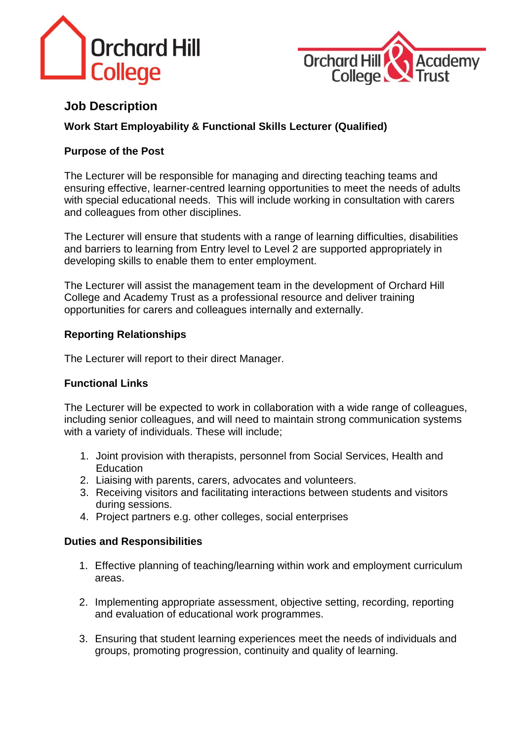



# **Job Description**

# **Work Start Employability & Functional Skills Lecturer (Qualified)**

## **Purpose of the Post**

The Lecturer will be responsible for managing and directing teaching teams and ensuring effective, learner-centred learning opportunities to meet the needs of adults with special educational needs. This will include working in consultation with carers and colleagues from other disciplines.

The Lecturer will ensure that students with a range of learning difficulties, disabilities and barriers to learning from Entry level to Level 2 are supported appropriately in developing skills to enable them to enter employment.

The Lecturer will assist the management team in the development of Orchard Hill College and Academy Trust as a professional resource and deliver training opportunities for carers and colleagues internally and externally.

#### **Reporting Relationships**

The Lecturer will report to their direct Manager.

### **Functional Links**

The Lecturer will be expected to work in collaboration with a wide range of colleagues, including senior colleagues, and will need to maintain strong communication systems with a variety of individuals. These will include;

- 1. Joint provision with therapists, personnel from Social Services, Health and **Education**
- 2. Liaising with parents, carers, advocates and volunteers.
- 3. Receiving visitors and facilitating interactions between students and visitors during sessions.
- 4. Project partners e.g. other colleges, social enterprises

#### **Duties and Responsibilities**

- 1. Effective planning of teaching/learning within work and employment curriculum areas.
- 2. Implementing appropriate assessment, objective setting, recording, reporting and evaluation of educational work programmes.
- 3. Ensuring that student learning experiences meet the needs of individuals and groups, promoting progression, continuity and quality of learning.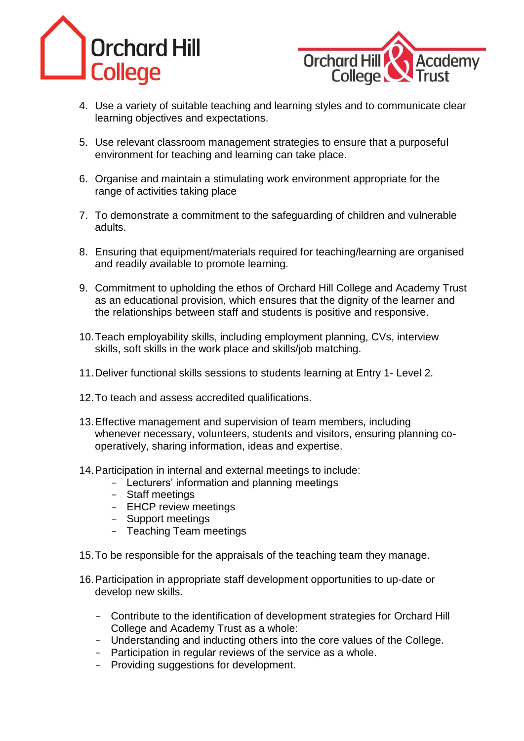



- 4. Use a variety of suitable teaching and learning styles and to communicate clear learning objectives and expectations.
- 5. Use relevant classroom management strategies to ensure that a purposeful environment for teaching and learning can take place.
- 6. Organise and maintain a stimulating work environment appropriate for the range of activities taking place
- 7. To demonstrate a commitment to the safeguarding of children and vulnerable adults.
- 8. Ensuring that equipment/materials required for teaching/learning are organised and readily available to promote learning.
- 9. Commitment to upholding the ethos of Orchard Hill College and Academy Trust as an educational provision, which ensures that the dignity of the learner and the relationships between staff and students is positive and responsive.
- 10.Teach employability skills, including employment planning, CVs, interview skills, soft skills in the work place and skills/job matching.
- 11.Deliver functional skills sessions to students learning at Entry 1- Level 2.
- 12.To teach and assess accredited qualifications.
- 13.Effective management and supervision of team members, including whenever necessary, volunteers, students and visitors, ensuring planning cooperatively, sharing information, ideas and expertise.
- 14.Participation in internal and external meetings to include:
	- Lecturers' information and planning meetings
	- Staff meetings
	- EHCP review meetings
	- Support meetings
	- Teaching Team meetings
- 15.To be responsible for the appraisals of the teaching team they manage.
- 16.Participation in appropriate staff development opportunities to up-date or develop new skills.
	- Contribute to the identification of development strategies for Orchard Hill College and Academy Trust as a whole:
	- Understanding and inducting others into the core values of the College.
	- Participation in regular reviews of the service as a whole.
	- Providing suggestions for development.